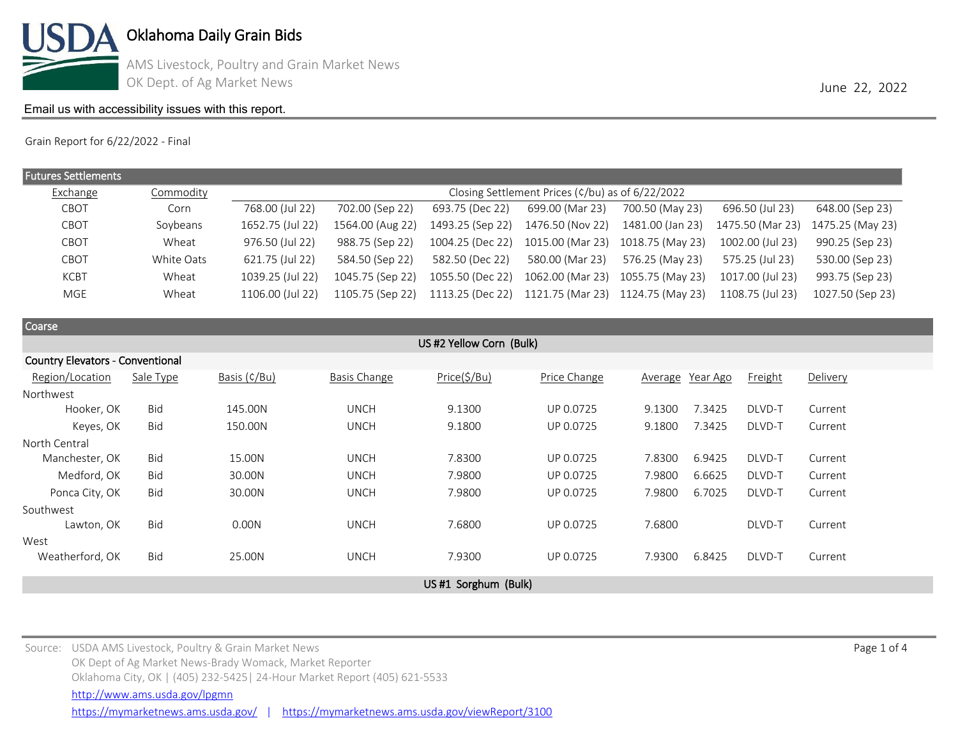

AMS Livestock, Poultry and Grain Market News OK Dept. of Ag Market News **June 22, 2022** 

# [Email us with accessibility issues with this report.](mailto:mars@ams.usda.gov?subjectNot%20able%20to%20access%20video%20auction%20report)

Grain Report for 6/22/2022 - Final

| <b>Futures Settlements</b> |            |                                                                                   |                  |                  |                  |                  |                  |                  |  |
|----------------------------|------------|-----------------------------------------------------------------------------------|------------------|------------------|------------------|------------------|------------------|------------------|--|
| Exchange                   | Commodity  | Closing Settlement Prices ( $\frac{\cosh(\theta)}{\cosh(\theta)}$ as of 6/22/2022 |                  |                  |                  |                  |                  |                  |  |
| CBOT                       | Corn       | 768.00 (Jul 22)                                                                   | 702.00 (Sep 22)  | 693.75 (Dec 22)  | 699.00 (Mar 23)  | 700.50 (May 23)  | 696.50 (Jul 23)  | 648.00 (Sep 23)  |  |
| CBOT                       | Soybeans   | 1652.75 (Jul 22)                                                                  | 1564.00 (Aug 22) | 1493.25 (Sep 22) | 1476.50 (Nov 22) | 1481.00 (Jan 23) | 1475.50 (Mar 23) | 1475.25 (May 23) |  |
| CBOT                       | Wheat      | 976.50 (Jul 22)                                                                   | 988.75 (Sep 22)  | 1004.25 (Dec 22) | 1015.00 (Mar 23) | 1018.75 (May 23) | 1002.00 (Jul 23) | 990.25 (Sep 23)  |  |
| CBOT                       | White Oats | 621.75 (Jul 22)                                                                   | 584.50 (Sep 22)  | 582.50 (Dec 22)  | 580.00 (Mar 23)  | 576.25 (May 23)  | 575.25 (Jul 23)  | 530.00 (Sep 23)  |  |
| <b>KCBT</b>                | Wheat      | 1039.25 (Jul 22)                                                                  | 1045.75 (Sep 22) | 1055.50 (Dec 22) | 1062.00 (Mar 23) | 1055.75 (May 23) | 1017.00 (Jul 23) | 993.75 (Sep 23)  |  |
| MGE                        | Wheat      | 1106.00 (Jul 22)                                                                  | 1105.75 (Sep 22) | 1113.25 (Dec 22) | 1121.75 (Mar 23) | 1124.75 (May 23) | 1108.75 (Jul 23) | 1027.50 (Sep 23) |  |
|                            |            |                                                                                   |                  |                  |                  |                  |                  |                  |  |

| Coarse                                  |                     |              |                     |              |              |                  |                |          |  |  |  |  |
|-----------------------------------------|---------------------|--------------|---------------------|--------------|--------------|------------------|----------------|----------|--|--|--|--|
| US #2 Yellow Corn (Bulk)                |                     |              |                     |              |              |                  |                |          |  |  |  |  |
| <b>Country Elevators - Conventional</b> |                     |              |                     |              |              |                  |                |          |  |  |  |  |
| Region/Location                         | Sale Type           | Basis (¢/Bu) | <b>Basis Change</b> | Price(\$/Bu) | Price Change | Average Year Ago | <b>Freight</b> | Delivery |  |  |  |  |
| Northwest                               |                     |              |                     |              |              |                  |                |          |  |  |  |  |
| Hooker, OK                              | <b>Bid</b>          | 145.00N      | <b>UNCH</b>         | 9.1300       | UP 0.0725    | 7.3425<br>9.1300 | DLVD-T         | Current  |  |  |  |  |
| Keyes, OK                               | <b>Bid</b>          | 150.00N      | <b>UNCH</b>         | 9.1800       | UP 0.0725    | 7.3425<br>9.1800 | DLVD-T         | Current  |  |  |  |  |
| North Central                           |                     |              |                     |              |              |                  |                |          |  |  |  |  |
| Manchester, OK                          | Bid                 | 15.00N       | <b>UNCH</b>         | 7.8300       | UP 0.0725    | 7.8300<br>6.9425 | DLVD-T         | Current  |  |  |  |  |
| Medford, OK                             | <b>Bid</b>          | 30.00N       | <b>UNCH</b>         | 7.9800       | UP 0.0725    | 7.9800<br>6.6625 | DLVD-T         | Current  |  |  |  |  |
| Ponca City, OK                          | <b>Bid</b>          | 30.00N       | <b>UNCH</b>         | 7.9800       | UP 0.0725    | 6.7025<br>7.9800 | DLVD-T         | Current  |  |  |  |  |
| Southwest                               |                     |              |                     |              |              |                  |                |          |  |  |  |  |
| Lawton, OK                              | <b>Bid</b>          | 0.00N        | <b>UNCH</b>         | 7.6800       | UP 0.0725    | 7.6800           | DLVD-T         | Current  |  |  |  |  |
| West                                    |                     |              |                     |              |              |                  |                |          |  |  |  |  |
| Weatherford, OK                         | <b>Bid</b>          | 25.00N       | <b>UNCH</b>         | 7.9300       | UP 0.0725    | 7.9300<br>6.8425 | DLVD-T         | Current  |  |  |  |  |
|                                         |                     |              |                     |              |              |                  |                |          |  |  |  |  |
|                                         | US#1 Sorghum (Bulk) |              |                     |              |              |                  |                |          |  |  |  |  |

Source: USDA AMS Livestock, Poultry & Grain Market News Page 1 of 4 and the state of the state of the state of the state of the state of the state of the state of the state of the state of the state of the state of the sta OK Dept of Ag Market News-Brady Womack, Market Reporter Oklahoma City, OK | (405) 232-5425| 24-Hour Market Report (405) 621-5533 <https://mymarketnews.ams.usda.gov/> | <https://mymarketnews.ams.usda.gov/viewReport/3100> <http://www.ams.usda.gov/lpgmn>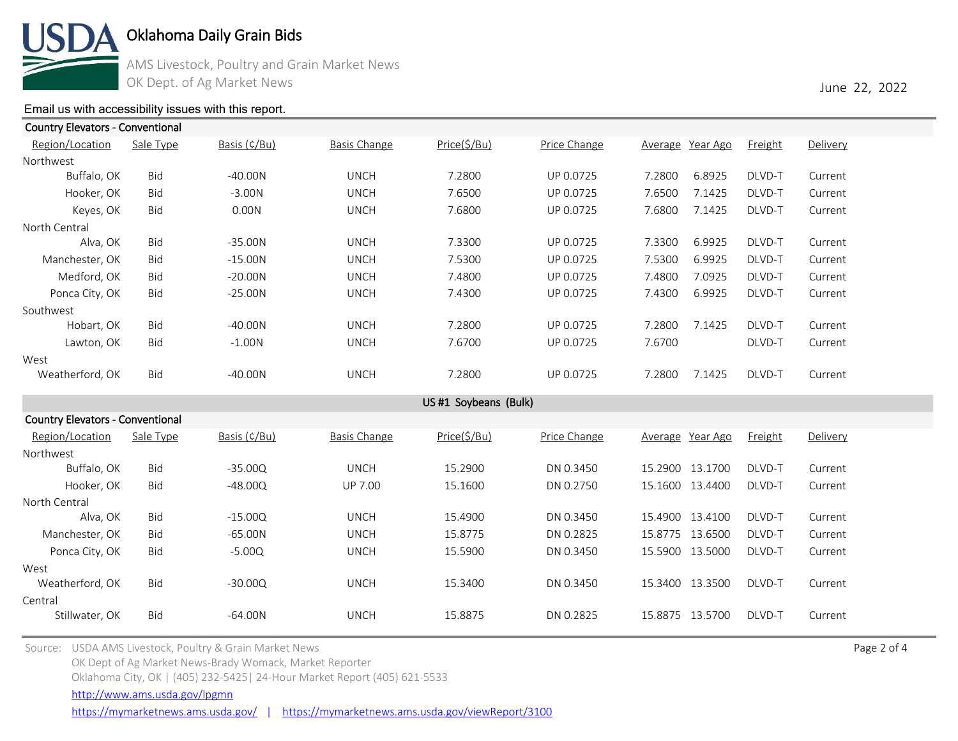

AMS Livestock, Poultry and Grain Market News OK Dept. of Ag Market News **June 22, 2022** 

# [Email us with accessibility issues with this report.](mailto:mars@ams.usda.gov?subjectNot%20able%20to%20access%20video%20auction%20report)

| <b>Country Elevators - Conventional</b> |            |              |                     |                       |              |                     |                |          |  |  |  |
|-----------------------------------------|------------|--------------|---------------------|-----------------------|--------------|---------------------|----------------|----------|--|--|--|
| Region/Location                         | Sale Type  | Basis (¢/Bu) | <b>Basis Change</b> | Price(\$/Bu)          | Price Change | Average Year Ago    | <b>Freight</b> | Delivery |  |  |  |
| Northwest                               |            |              |                     |                       |              |                     |                |          |  |  |  |
| Buffalo, OK                             | Bid        | $-40.00N$    | <b>UNCH</b>         | 7.2800                | UP 0.0725    | 7.2800<br>6.8925    | DLVD-T         | Current  |  |  |  |
| Hooker, OK                              | <b>Bid</b> | $-3.00N$     | <b>UNCH</b>         | 7.6500                | UP 0.0725    | 7.6500<br>7.1425    | DLVD-T         | Current  |  |  |  |
| Keyes, OK                               | <b>Bid</b> | 0.00N        | <b>UNCH</b>         | 7.6800                | UP 0.0725    | 7.6800<br>7.1425    | DLVD-T         | Current  |  |  |  |
| North Central                           |            |              |                     |                       |              |                     |                |          |  |  |  |
| Alva, OK                                | <b>Bid</b> | $-35.00N$    | <b>UNCH</b>         | 7.3300                | UP 0.0725    | 7.3300<br>6.9925    | DLVD-T         | Current  |  |  |  |
| Manchester, OK                          | Bid        | $-15.00N$    | <b>UNCH</b>         | 7.5300                | UP 0.0725    | 7.5300<br>6.9925    | DLVD-T         | Current  |  |  |  |
| Medford, OK                             | <b>Bid</b> | $-20.00N$    | <b>UNCH</b>         | 7.4800                | UP 0.0725    | 7.4800<br>7.0925    | DLVD-T         | Current  |  |  |  |
| Ponca City, OK                          | Bid        | $-25.00N$    | <b>UNCH</b>         | 7.4300                | UP 0.0725    | 7.4300<br>6.9925    | DLVD-T         | Current  |  |  |  |
| Southwest                               |            |              |                     |                       |              |                     |                |          |  |  |  |
| Hobart, OK                              | Bid        | $-40.00N$    | <b>UNCH</b>         | 7.2800                | UP 0.0725    | 7.2800<br>7.1425    | DLVD-T         | Current  |  |  |  |
| Lawton, OK                              | Bid        | $-1.00N$     | <b>UNCH</b>         | 7.6700                | UP 0.0725    | 7.6700              | DLVD-T         | Current  |  |  |  |
| West                                    |            |              |                     |                       |              |                     |                |          |  |  |  |
| Weatherford, OK                         | Bid        | $-40.00N$    | <b>UNCH</b>         | 7.2800                | UP 0.0725    | 7.1425<br>7.2800    | DLVD-T         | Current  |  |  |  |
|                                         |            |              |                     | US #1 Soybeans (Bulk) |              |                     |                |          |  |  |  |
| <b>Country Elevators - Conventional</b> |            |              |                     |                       |              |                     |                |          |  |  |  |
| Region/Location                         | Sale Type  | Basis (¢/Bu) | <b>Basis Change</b> | Price(\$/Bu)          | Price Change | Average<br>Year Ago | <b>Freight</b> | Delivery |  |  |  |
| Northwest                               |            |              |                     |                       |              |                     |                |          |  |  |  |
| Buffalo, OK                             | Bid        | $-35.00Q$    | <b>UNCH</b>         | 15.2900               | DN 0.3450    | 15.2900 13.1700     | DLVD-T         | Current  |  |  |  |
| Hooker, OK                              | Bid        | $-48.00Q$    | <b>UP 7.00</b>      | 15.1600               | DN 0.2750    | 15.1600 13.4400     | DLVD-T         | Current  |  |  |  |
| North Central                           |            |              |                     |                       |              |                     |                |          |  |  |  |
| Alva, OK                                | Bid        | $-15.00Q$    | <b>UNCH</b>         | 15.4900               | DN 0.3450    | 15.4900 13.4100     | DLVD-T         | Current  |  |  |  |
| Manchester, OK                          | <b>Bid</b> | $-65.00N$    | <b>UNCH</b>         | 15.8775               | DN 0.2825    | 15.8775 13.6500     | DLVD-T         | Current  |  |  |  |
| Ponca City, OK                          | Bid        | $-5.00Q$     | <b>UNCH</b>         | 15.5900               | DN 0.3450    | 15.5900 13.5000     | DLVD-T         | Current  |  |  |  |
| West                                    |            |              |                     |                       |              |                     |                |          |  |  |  |
| Weatherford, OK                         | <b>Bid</b> | $-30.00Q$    | <b>UNCH</b>         | 15.3400               | DN 0.3450    | 15.3400 13.3500     | DLVD-T         | Current  |  |  |  |
| Central                                 |            |              |                     |                       |              |                     |                |          |  |  |  |
| Stillwater, OK                          | <b>Bid</b> | $-64.00N$    | <b>UNCH</b>         | 15.8875               | DN 0.2825    | 15.8875 13.5700     | DLVD-T         | Current  |  |  |  |

Source: USDA AMS Livestock, Poultry & Grain Market News Page 2 of 4 and the state of the state of the state of the state of the state of the state of the state of the state of the state of the state of the state of the sta OK Dept of Ag Market News-Brady Womack, Market Reporter Oklahoma City, OK | (405) 232-5425| 24-Hour Market Report (405) 621-5533

<http://www.ams.usda.gov/lpgmn>

<https://mymarketnews.ams.usda.gov/> | <https://mymarketnews.ams.usda.gov/viewReport/3100>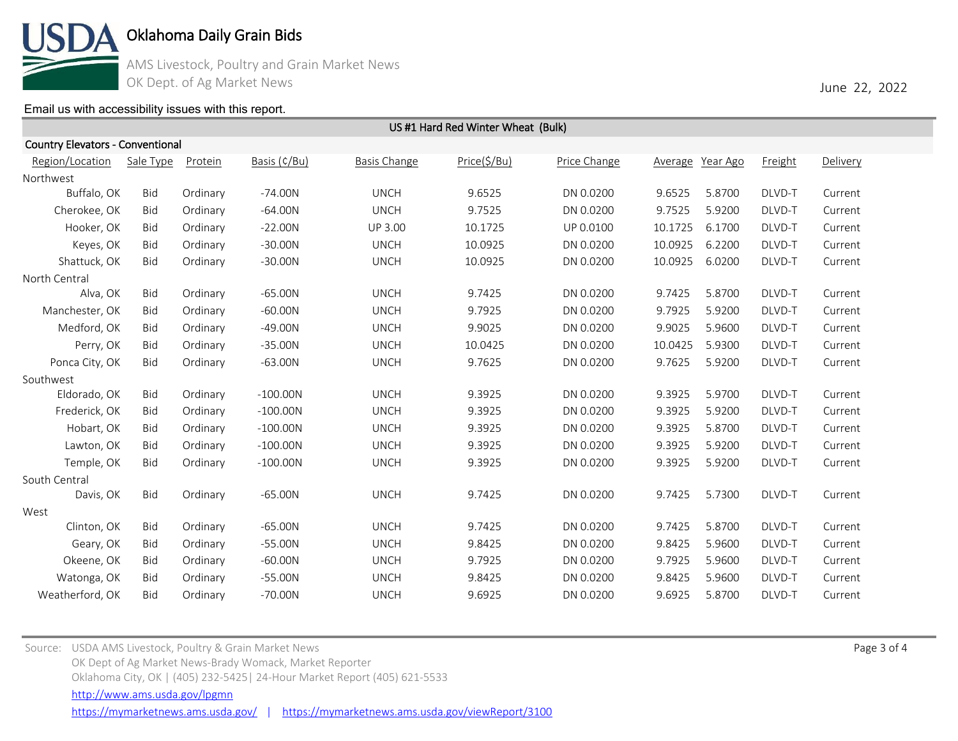

AMS Livestock, Poultry and Grain Market News OK Dept. of Ag Market News **June 22, 2022** 

### [Email us with accessibility issues with this report.](mailto:mars@ams.usda.gov?subjectNot%20able%20to%20access%20video%20auction%20report)

| <b>Country Elevators - Conventional</b> |            |          |              |                     |              |              |                  |        |         |          |
|-----------------------------------------|------------|----------|--------------|---------------------|--------------|--------------|------------------|--------|---------|----------|
| Region/Location                         | Sale Type  | Protein  | Basis (¢/Bu) | <b>Basis Change</b> | Price(\$/Bu) | Price Change | Average Year Ago |        | Freight | Delivery |
| Northwest                               |            |          |              |                     |              |              |                  |        |         |          |
| Buffalo, OK                             | Bid        | Ordinary | $-74.00N$    | <b>UNCH</b>         | 9.6525       | DN 0.0200    | 9.6525           | 5.8700 | DLVD-T  | Current  |
| Cherokee, OK                            | Bid        | Ordinary | $-64.00N$    | <b>UNCH</b>         | 9.7525       | DN 0.0200    | 9.7525           | 5.9200 | DLVD-T  | Current  |
| Hooker, OK                              | Bid        | Ordinary | $-22.00N$    | UP 3.00             | 10.1725      | UP 0.0100    | 10.1725          | 6.1700 | DLVD-T  | Current  |
| Keyes, OK                               | Bid        | Ordinary | $-30.00N$    | <b>UNCH</b>         | 10.0925      | DN 0.0200    | 10.0925          | 6.2200 | DLVD-T  | Current  |
| Shattuck, OK                            | Bid        | Ordinary | $-30.00N$    | <b>UNCH</b>         | 10.0925      | DN 0.0200    | 10.0925          | 6.0200 | DLVD-T  | Current  |
| North Central                           |            |          |              |                     |              |              |                  |        |         |          |
| Alva, OK                                | Bid        | Ordinary | $-65.00N$    | <b>UNCH</b>         | 9.7425       | DN 0.0200    | 9.7425           | 5.8700 | DLVD-T  | Current  |
| Manchester, OK                          | Bid        | Ordinary | $-60.00N$    | <b>UNCH</b>         | 9.7925       | DN 0.0200    | 9.7925           | 5.9200 | DLVD-T  | Current  |
| Medford, OK                             | Bid        | Ordinary | $-49.00N$    | <b>UNCH</b>         | 9.9025       | DN 0.0200    | 9.9025           | 5.9600 | DLVD-T  | Current  |
| Perry, OK                               | Bid        | Ordinary | $-35.00N$    | <b>UNCH</b>         | 10.0425      | DN 0.0200    | 10.0425          | 5.9300 | DLVD-T  | Current  |
| Ponca City, OK                          | Bid        | Ordinary | $-63.00N$    | <b>UNCH</b>         | 9.7625       | DN 0.0200    | 9.7625           | 5.9200 | DLVD-T  | Current  |
| Southwest                               |            |          |              |                     |              |              |                  |        |         |          |
| Eldorado, OK                            | Bid        | Ordinary | $-100.00N$   | <b>UNCH</b>         | 9.3925       | DN 0.0200    | 9.3925           | 5.9700 | DLVD-T  | Current  |
| Frederick, OK                           | Bid        | Ordinary | $-100.00N$   | <b>UNCH</b>         | 9.3925       | DN 0.0200    | 9.3925           | 5.9200 | DLVD-T  | Current  |
| Hobart, OK                              | Bid        | Ordinary | $-100.00N$   | <b>UNCH</b>         | 9.3925       | DN 0.0200    | 9.3925           | 5.8700 | DLVD-T  | Current  |
| Lawton, OK                              | Bid        | Ordinary | $-100.00N$   | <b>UNCH</b>         | 9.3925       | DN 0.0200    | 9.3925           | 5.9200 | DLVD-T  | Current  |
| Temple, OK                              | Bid        | Ordinary | $-100.00N$   | <b>UNCH</b>         | 9.3925       | DN 0.0200    | 9.3925           | 5.9200 | DLVD-T  | Current  |
| South Central                           |            |          |              |                     |              |              |                  |        |         |          |
| Davis, OK                               | Bid        | Ordinary | $-65.00N$    | <b>UNCH</b>         | 9.7425       | DN 0.0200    | 9.7425           | 5.7300 | DLVD-T  | Current  |
| West                                    |            |          |              |                     |              |              |                  |        |         |          |
| Clinton, OK                             | Bid        | Ordinary | $-65.00N$    | <b>UNCH</b>         | 9.7425       | DN 0.0200    | 9.7425           | 5.8700 | DLVD-T  | Current  |
| Geary, OK                               | Bid        | Ordinary | $-55.00N$    | <b>UNCH</b>         | 9.8425       | DN 0.0200    | 9.8425           | 5.9600 | DLVD-T  | Current  |
| Okeene, OK                              | Bid        | Ordinary | $-60.00N$    | <b>UNCH</b>         | 9.7925       | DN 0.0200    | 9.7925           | 5.9600 | DLVD-T  | Current  |
| Watonga, OK                             | <b>Bid</b> | Ordinary | $-55.00N$    | <b>UNCH</b>         | 9.8425       | DN 0.0200    | 9.8425           | 5.9600 | DLVD-T  | Current  |
| Weatherford, OK                         | <b>Bid</b> | Ordinary | $-70.00N$    | <b>UNCH</b>         | 9.6925       | DN 0.0200    | 9.6925           | 5.8700 | DLVD-T  | Current  |

US #1 Hard Red Winter Wheat (Bulk)

Source: USDA AMS Livestock, Poultry & Grain Market News Page 3 of 4 and the state of the state of the state of the state of the state of the state of the state of the state of the state of the state of the state of the sta OK Dept of Ag Market News-Brady Womack, Market Reporter Oklahoma City, OK | (405) 232-5425| 24-Hour Market Report (405) 621-5533 <https://mymarketnews.ams.usda.gov/> | <https://mymarketnews.ams.usda.gov/viewReport/3100> <http://www.ams.usda.gov/lpgmn>